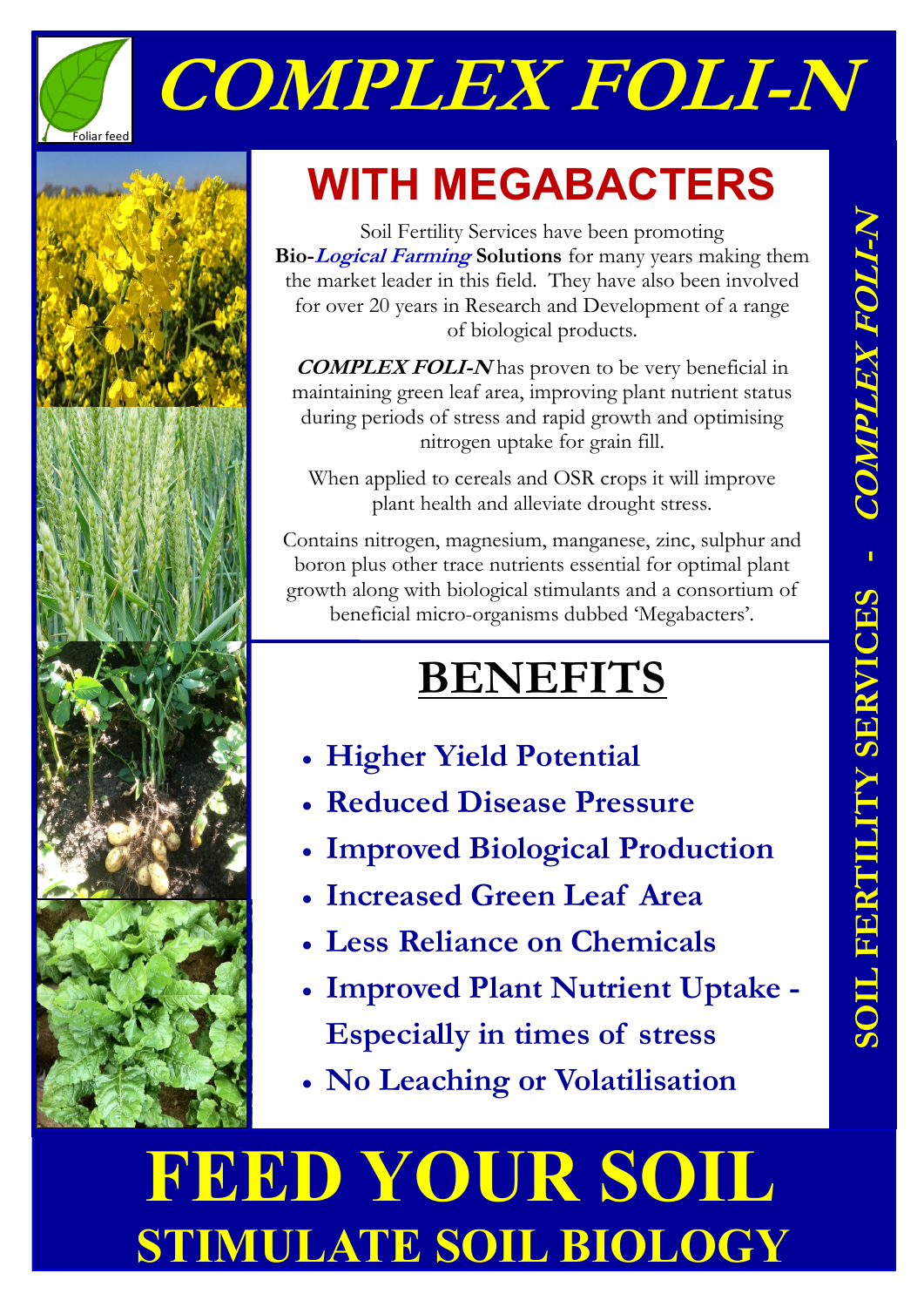

# **COMPLEX FOLI-N**



### **WITH MEGABACTERS**

Soil Fertility Services have been promoting **Bio-Logical Farming Solutions** for many years making them the market leader in this field. They have also been involved for over 20 years in Research and Development of a range of biological products.

**COMPLEX FOLI-N** has proven to be very beneficial in maintaining green leaf area, improving plant nutrient status during periods of stress and rapid growth and optimising nitrogen uptake for grain fill.

When applied to cereals and OSR crops it will improve plant health and alleviate drought stress.

Contains nitrogen, magnesium, manganese, zinc, sulphur and boron plus other trace nutrients essential for optimal plant growth along with biological stimulants and a consortium of beneficial micro-organisms dubbed 'Megabacters'.

### **BENEFITS**

- **Higher Yield Potential**
- **Reduced Disease Pressure**
- **Improved Biological Production**
- **Increased Green Leaf Area**
- **Less Reliance on Chemicals**
- **Improved Plant Nutrient Uptake - Especially in times of stress**
- **No Leaching or Volatilisation**

## **FEED YOUR SOIL STIMULATE SOIL BIOLOGY**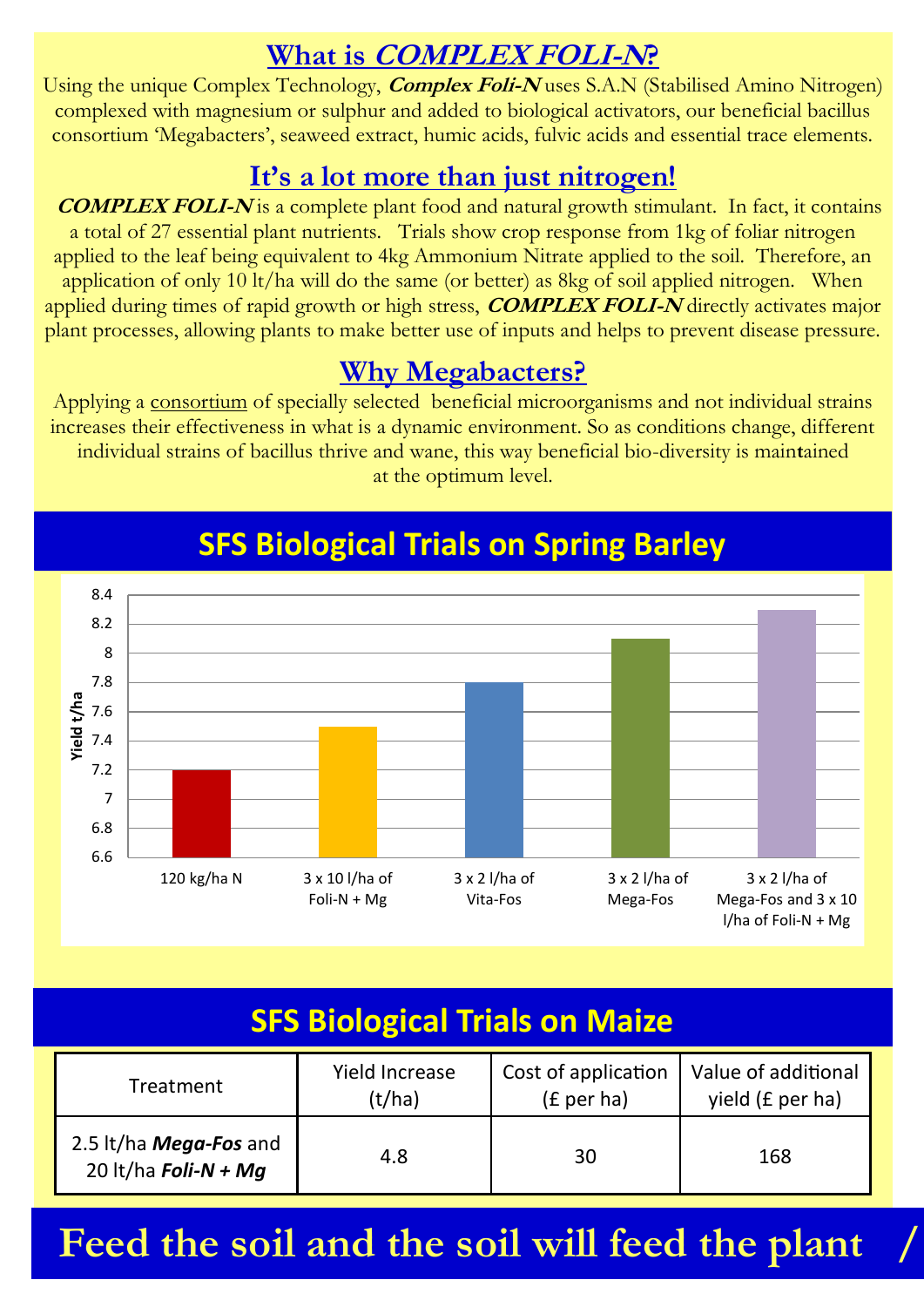### **What is COMPLEX FOLI-N?**

Using the unique Complex Technology, **Complex Foli-N** uses S.A.N (Stabilised Amino Nitrogen) complexed with magnesium or sulphur and added to biological activators, our beneficial bacillus consortium 'Megabacters', seaweed extract, humic acids, fulvic acids and essential trace elements.

#### **It's a lot more than just nitrogen!**

 **COMPLEX FOLI-N** is a complete plant food and natural growth stimulant. In fact, it contains a total of 27 essential plant nutrients. Trials show crop response from 1kg of foliar nitrogen applied to the leaf being equivalent to 4kg Ammonium Nitrate applied to the soil. Therefore, an application of only 10 lt/ha will do the same (or better) as 8kg of soil applied nitrogen. When applied during times of rapid growth or high stress, **COMPLEX FOLI-N** directly activates major plant processes, allowing plants to make better use of inputs and helps to prevent disease pressure.

#### **Why Megabacters?**

Applying a consortium of specially selected beneficial microorganisms and not individual strains increases their effectiveness in what is a dynamic environment. So as conditions change, different individual strains of bacillus thrive and wane, this way beneficial bio-diversity is main**t**ained at the optimum level.



### **SFS Biological Trials on Spring Barley SFS Biological Trials on S Barley**

| <b>SFS Biological Trials on Maize</b>          |                          |                                   |                                         |  |
|------------------------------------------------|--------------------------|-----------------------------------|-----------------------------------------|--|
| Treatment                                      | Yield Increase<br>(t/ha) | Cost of application<br>(£ per ha) | Value of additional<br>yield (£ per ha) |  |
| 2.5 lt/ha Mega-Fos and<br>20 lt/ha Foli-N + Mg | 4.8                      | 30                                | 168                                     |  |

Feed the soil and the soil will feed the plant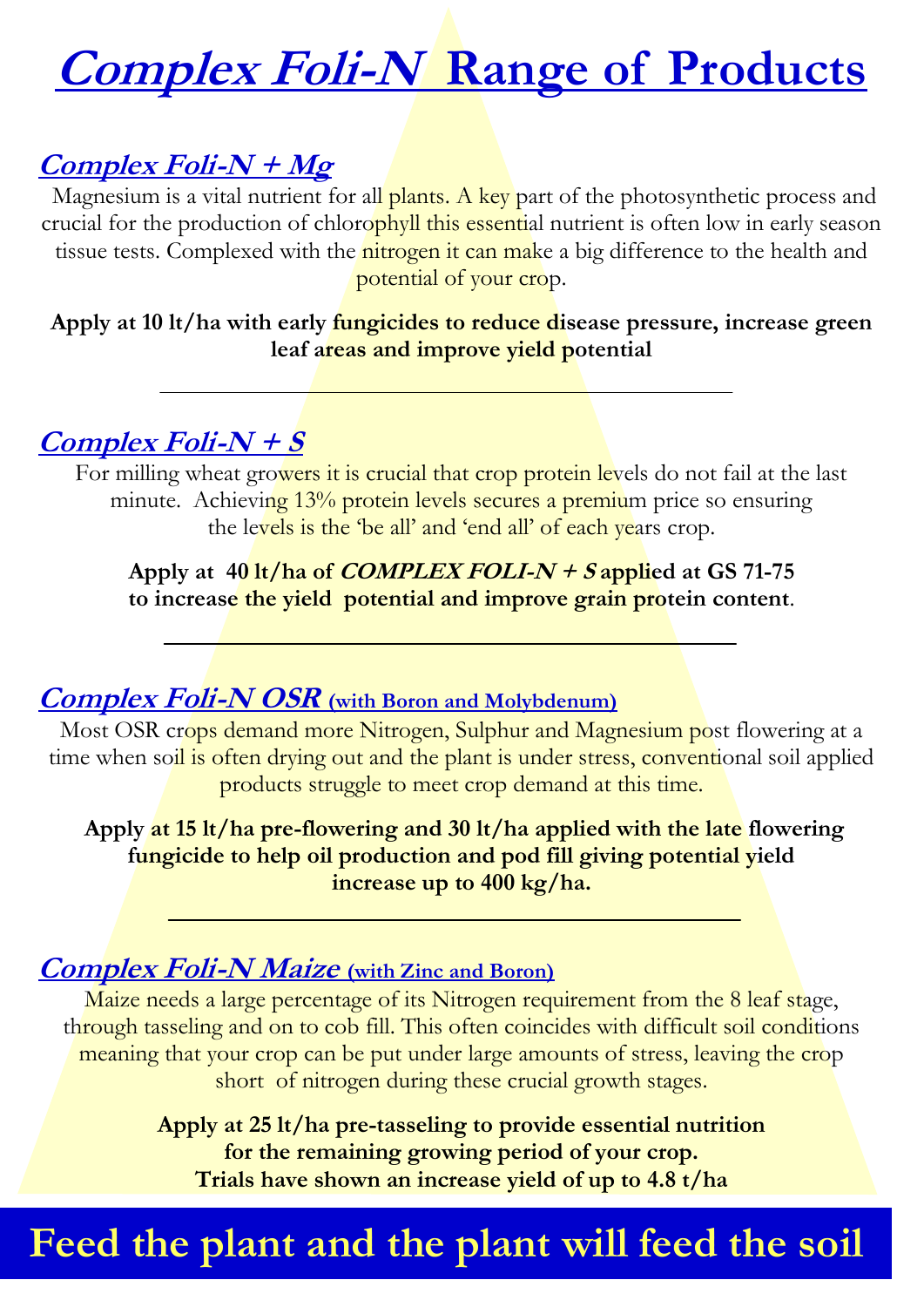### **Complex Foli-N Range of Products**

### **Complex Foli-N + Mg**

Magnesium is a vital nutrient for all plants. A key part of the photosynthetic process and crucial for the production of chlorophyll this essential nutrient is often low in early season tissue tests. Complexed with the nitrogen it can make a big difference to the health and potential of your crop.

**Apply at 10 lt/ha with early fungicides to reduce disease pressure, increase green leaf areas and improve yield potential**

#### **Complex Foli-N + S**

For milling wheat growers it is crucial that crop protein levels do not fail at the last minute. Achieving 13% protein levels secures a premium price so ensuring the levels is the 'be all' and 'end all' of each years crop.

Apply at  $40 \frac{\text{lt}}{\text{ha}}$  of *COMPLEX FOLI-N + S* applied at GS 71-75 **to increase the yield potential and improve grain protein content**.

#### **Complex Foli-N OSR (with Boron and Molybdenum)**

Most OSR crops demand more Nitrogen, Sulphur and Magnesium post flowering at a time when soil is often drying out and the plant is under stress, conventional soil applied products struggle to meet crop demand at this time.

**Apply at 15 lt/ha pre-flowering and 30 lt/ha applied with the late flowering fungicide to help oil production and pod fill giving potential yield increase up to 400 kg/ha.**

#### **Complex Foli-N Maize (with Zinc and Boron)**

Maize needs a large percentage of its Nitrogen requirement from the 8 leaf stage, through tasseling and on to cob fill. This often coincides with difficult soil conditions meaning that your crop can be put under large amounts of stress, leaving the crop short of nitrogen during these crucial growth stages.

> **Apply at 25 lt/ha pre-tasseling to provide essential nutrition for the remaining growing period of your crop. Trials have shown an increase yield of up to 4.8 t/ha**

### Feed the plant and the plant will feed the soil